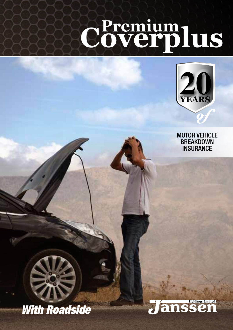# **YEARS Premium Coverplus**



MOTOR VEHICLE **BREAKDOWN INSURANCE** 



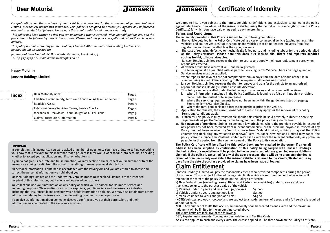# **Dear Motorist**

ranssen

*Congratulations on the purchase of your vehicle and welcome to the protection of Janssen Holdings Limited Mechanical Breakdown Insurance. This policy is designed to protect you against any unforeseen mechanical or electrical failures. Please note this is not a vehicle maintenance warranty.*

*This policy has been written so that you can understand what is covered, what your obligations are, and the procedure to be followed if a breakdown occurs. Please read this policy carefully and call us if you have any queries.*

*This policy is administered by Janssen Holdings Limited. All communications relating to claims or queries should be directed to:* 

*Janssen Holdings Limited, PO Box 14-764, Panmure, Auckland 1741 Tel: 09 577-1379 or E-mail: admin@coverplus.co.nz*

# Happy Motoring

# **Janssen Holdings Limited**

| Index            | : Dear Motorist/Index                                            | Page 1 |
|------------------|------------------------------------------------------------------|--------|
| . <sup>. .</sup> | Certificate of Indemnity; Terms and Conditions/Claim Entitlement | Page 2 |
|                  | <b>Roadside Assist</b>                                           | Page 3 |
|                  | <b>Extension Cover/Servicing Terms/Service Checks</b>            | Page 4 |
|                  | : Mechanical Breakdown; Your Obligations, Exclusions             | Page 5 |
|                  | : Claims Procedure & Information                                 | Page 6 |

#### **IMPORTANT**

In completing this insurance, you were asked a number of questions. You have a duty to tell us everything you know that is relevant to this insurance that a prudent insurer would want to take into account in deciding whether to accept your application and, if so, on what terms.

If you do not give us accurate and full information, we may decline a claim, cancel your insurance or treat the insurance as being invalid from the outset. If anything changes, you must also tell us.

All personal information is obtained in accordance with the Privacy Act and you are entitled to access and correct the personal information we hold about you.

Janssen Holdings Limited and the underwriter, Vero Insurance New Zealand Limited, are the intended recipient of this information, but it may also be passed on to others.

We collect and use your information on any policy on which you're named, for insurance-related and marketing purposes. We may disclose it to our suppliers, your financiers and the insurance industry, including the Insurance Claims Register which holds information on claims. We may also obtain from others information relating to this insurance for underwriting or other insurance purposes.

If you give us information about someone else, you confirm you've got their permission, and their information may be treated in the same way as yours.

*Tanssen* 

# **Certificate of Indemnity**

We agree to insure you subject to the terms, conditions, definitions and exclusions contained in the policy against Mechanical Breakdown of the insured vehicle during the Period of Insurance (shown on the Policy Certificate) for which you have paid or agreed to pay the premium.

# **Terms and Conditions**

The indemnity provided in this Policy is subject to the following conditions:

- 1. The vehicle detailed in the Policy Certificate being a car or c0mmercial vehicle (excluding taxis, hire vehicles and courier vehicles) up to 3,500 kg and vehicles that do not exceed 20 years from first registration and have travelled less than 300,000 km's.
- 2. The cost of replacing defective or mechanically failed parts and including labour for the period detailed on the P0licy Certificate. **Please note this does NOT include oils, filters and repairers sundries such as freight, tolls, serviceables.**
- 3. Janssen Holdings Limited reserves the right to source and supply their own replacement parts when repairs are effected.
- 4. All vehicles must have a current WoF and be Registered.
- The servicing must be complied with as per the Servicing Terms/Service Checks on page  $4$ , and all Service Invoices must be supplied.
- 6. Where repairs and invoices are not completed within 60 days from the date of issue of the Claim number being issued. Claims relating to those repairs shall be deemed invalid.
- 7. Janssen Holdings Limited reserves the right to remove and transfer the vehicle to an authorised repairer at Janssen Holdings Limited absolute discretion.
- 8. This Policy can be cancelled under the following circumstances and no refund will be given:
	- i. Where information contained in the Policy Certificate is found to be false or fraudulent or claims made under fraudulent or false pretenses.
	- ii. Where the servicing requirements have not been met within the guidelines listed on page  $4$ ; Servicing Terms/Service Checks.

iii. Where the total paid in claims exceeds the purchase price of the vehicle.

- 9. Application for renewal; the current owner of the vehicle may apply for the renewal of this policy. Terms and conditions apply.
- 10. Transfers; This policy is fully transferable should this vehicle be sold privately, subject to servicing requirements as per the Servicing Terms being met, and the policy being claims free.
- 11. **Non-payment of premiums**: Subject to common law principles, where the premium payable in respect of any policy has not been received from relevant customer(s), or the premium payable in respect of any Policy has not been received by Vero Insurance New Zealand Limited, within 30 days of the Policy commencing (including any variation or renewal),Vero Insurance new Zealand Limited may cancel the policy. Vero Insurance new Zealand Limited may itself claim from the relevant customer(s) any premium payable for the period from the commencement of the Policy to its cancellation.

**The Policy Certificate will be affixed to this policy book and/or emailed to the owner if an email address has been supplied as confirmation of this policy being lodged with Janssen Holdings Limited. Notice of cancellation will be posted to the insured's last address given to Janssen Holdings Limited. If the policy is cancelled for any of the above reasons, there will be no premium refunded. A refund of premium is only available if the insured vehicle is returned to the Vendor/Dealer within 14 days from the date of purchase provided no claims have been made or lodged.** 

# **Claim entitlement**

Janssen Holdings Limited will pay the reasonable cost to repair covered components during the period of insurance. This is subject to the following claim limits which are set from the point of sale and will remain for the term of the policy (shown on the Policy Certificate):

a) new Zealand new (excluding Luxury, Diesel and Performance vehicles) under 10 years and less than 130,000 kms, to the purchase value of the vehicle.

b) Vehicles under 10 years and less than 130,000 kms - \$5,000.

c) Vehicles under 15 years and 225,000 kms  $\sim$  \$2,500.

d) Vehicles under 20 years and 300,000 kms  $-$  \$1,500

(**NOTe:** Vehicles 250,000 - 300,000 kms are subject to a maximum term of 1 year, and a full service is required at point of sale).

**NOTe:** Any number of faults that occur simultaneously shall be treated as one claim and the maximum indemnity will be limited to the amount indicated above.

The claim limits are inclusive of the following;

GST, Repairs, Assessments, Towing, Accommodation and Car Hire Costs.

An excess applies to each and every claim. The excess applied will be that shown on the Policy Certificate.

**Page 1 Page 2**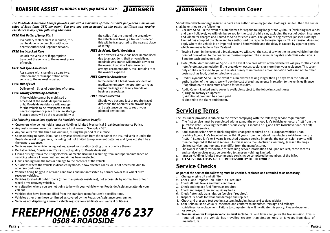*the roadside assistance benefit provides you with a maximum of three call outs per year to a maximum value of \$100 (plus Gst) per event. you and any person named on the policy certificate can receive assistance in any of the following situations:*

#### *FREE Flat Battery/Jump Start*

 If a battery replacement is required, this can be done in conjunction with your nearest Authorised Repairer network.

### *FREE Lost/Locked Keys*

 Unlock the vehicle or if appropriate transport the vehicle to the nearest place of repair.

#### *FREE Flat Tyre Assistance*

 Assistance with changing a spare tyre, inflation and/or transportation of the vehicle to the nearest repairer.

# *FREE Out of Fuel*

Delivery of 5 litres of petrol free of charge.

# **FREE Towing (excluding Accident)**

 If the vehicle cannot be mobilised or accessed at the roadside (public roads only) Roadside Assistance will arrange for the vehicle to be transported to the nearest repairer or place of secure storage. Storage costs will be the responsibility of

 the caller. If at the time of the breakdown the vehicle was towing a trailer or sidecar, this will be transported to the nearest place of safety.

*<u>Janssen</u>* 

#### *FREE Accident, Theft, Vandalism*

 If the owner's vehicle has been immobilised due to an accident, theft or vandalism, Roadside Assistance will provide advice to the owner. Roadside Assistance can arrange accommodation, taxi, rentals etc at the owner's expense.

#### *FREE Operator Assistance*

 In the event of a breakdown, accident or medical emergency the operator can relay urgent messages to family, friends or business associates.

#### *FREE Travel Direction*

 Should you become lost or require travel directions the operator can provide help and assistance on how to reach your planned destination.

#### *the following exclusions apply to the roadside assistance benefit:*

- Customers who do not hold a Janssen Holdings Limited Mechanical Breakdown Insurance Policy.
- Any costs incurred over the maximum call out cover of \$100 plus GST.
- Any call outs over the three call out limit, during the period of insurance.
- Costs relating to parts, labour and any associated costs from the repair of the insured vehicle under the Roadside assist programme, including but not limited to replacement batteries and tyres etc shall be at the owners expense.
- Vehicles used in vehicle racing, rallies, speed or duration testing or any practice thereof.
- Rental vehicles, Couriers and Taxis do not qualify for Roadside Assist.
- Claims arising from a recurring electrical or mechanical limit resulting from improper maintenance or servicing where a known fault and repair has been neglected.
- Claims arising from the loss or damage to the contents of the vehicle.
- Situations where the vehicle is disabled by floods, snow affected roads, or is not accessible due to adverse conditions.
- Vehicles being bogged in off road conditions and not accessible by normal two or four wheel drive recovery vehicles.
- Vehicles located off public roads (other than private residence), not accessible by normal two or four wheel drive recovery vehicles.
- Any situation where you are not going to be with your vehicle when Roadside Assistance attends your call out.
- Vehicles that have been modified from the standard manufacturer's specifications.
- Vehicles other than those confirmed as covered by the Roadside Assistance programme.
- Vehicles not displaying a current vehicle registration certificate and warrant of fitness.

# **Page 3 Page 4** *FREEPHONE: 0508 476 237 0508 4 ROADSIDE*

*<u>Janssen</u>* 

# **Extension Cover**

Should the vehicle undergo insured repairs after authorisation by Janssen Holdings Limited, then the owner shall be entitled to the following:

- 1. Car Hire \$200 In the event of a breakdown for repairs taking longer than 48 hours (excluding weekends and bank holidays), we will reimburse you for the cost of a hire car, excluding the cost of petrol, insurance and kilometer charges and limited to \$200 for each claim. The 48 hours begins when Janssen Holdings Limited has accepted the claim and has authorised the repairer to begin repairs. This extension does not apply where the vehicle is an imported second hand vehicle and the delay is caused by a part or parts which are unavailable in New Zealand.
- 2. Towing \$200 In the event of a breakdown, we will cover the cost of towing the Insured vehicle from the point of breakdown to the nearest authorised repairer. The maximum payable under this extension is \$200 for each and every claim.
- 3. Hotel/Motel Accommodation \$300 In the event of a breakdown of the vehicle we will pay for the cost of hotel/motel accommodation if the breakdown occurs 100kms or more from your residence. This cover only applies in respect to you and relates purely to unforeseen accommodation costs and not to other costs such as food, drink or telephone calls.
- 4. Credit Payments \$200 In the event of a breakdown taking longer than 30 days from the date of authorisation of the repair, we will pay the cost of credit payments in relation to the vehicles finance (if applicable), to a maximum of \$200 for each claim.
- 5. Audio Cover Limited audio cover is available subject to the following conditions: a) Original factory equipment.
	- b) Additional premium has been paid. c) Limited to the claim entitlement.
	-

# **servicing Terms**

The Insurance provided is subject to the owner complying with the following service requirements:

- 1. The first service must be completed within 12 months or 15,000 km's (whichever occurs first) from the purchase date. Servicing thereafter is due every 12 months or 15,000 km's (whichever occurs first) from the last service.
- 2. A full transmission service (including filter change)is required on all European vehicles upon reaching 80,000 km's travelled and within 8 years from the date of manufacture (whichever occurs first). If 80,000 km's or 8 years is reached between service intervals, the transmission service will then be required at the next service. As this is not a manufacturer's warranty, Janssen Holdings Limited service requirements may differ from the manufacturer.
- The owner is solely responsible for retaining service information and upon request, these records and service invoices must be provided to Janssen Holdings Limited.  $\mathbf{R}$
- 4. Janssen Holdings Limited recommends servicing be completed by members of the MTA.
- **5. ALL seRVICINg COsTs ARe THe ResPONsIBILITy Of THe OwNeR.**

# **service Checks**

# **As part of the service the following must be checked, replaced and attended to as necessary.**

- 1. Change engine oil and oil filter
- 2. Check and replace air filter as required
- 3. Check all fluid levels and fluid conditions
- 4. Check and replace fuel filter/s as required
- 5. Check and inspect fan and auxiliary belts
- 6. Check Automatic transmission (service if required).
- 7. Inspect CV boots for wear and damage and replace
- 8. Check and pressure test cooling system, including hoses and coolant additive
- 9. Cam Belts must be visually inspected and c0nf0rm t0 manufacturers age and mileage guidelines for replacement. Failure to complete this will invalidate this policy. Please document on invoice.
- **10. Transmission for european vehicles must include:** oil and filter change for the transmission. This is required once the vehicle has travelled greater than 80,000 km's or 8 years from date of manufacture.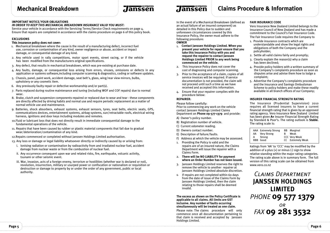# *Tanssen*

# **IMPORTANT NOTICe/yOuR OBLIgATIONs**

# *In order to keep thIs mechanIcal breakdown Insurance valId you must:*

Service your vehicle in accordance with the Servicing Terms/Service Check requirements on page 4. Ensure that repairs are completed in accordance with the claims procedure on page 6 of this policy book.

# **exCLusIONs**

# This insurance policy does not cover:

- 1. Mechanical breakdown where the cause is the result of a manufacturing defect, incorrect fuel use, corrosion or contamination of any kind, owner negligence or abuse, accident or impact damage, or consequential damage of any kind.
- 2. Any vehicle used in rally competitions, motor sport events, street racing, or if the vehicle has been modified from the manufacturers original specifications.
- 3. Any defect, that results in mechanical breakdown, which was pre-existing at purchase date.
- 4. Any faults, damage, or consequential loss arising from errors, viruses, omissions or defects in any application or systems software,including computer scanning & diagnostics, coding or software updates.
- 5. Chassis, panel, paint work, accident damage, seat belt's, glass, wing/rear view mirrors, bulbs, upholstery or any cosmetic item.
- 6. Any previously faulty repair or defective workmanship and/or part(s).
- 7. Parts replaced during routine maintenance and tuning (including WoF and CoF repairs) due to normal wear.
- 8. Brake, clutch and suspension components repaired or replaced due to wear and tear these components are directly affected by driving habits and normal use and require periodic replacement as a matter of normal vehicle use and maintenance.
- 9. Batteries, shock absorbers, exhaust systems, exhaust sensors, tyres, seat belts, electric seats, GPS, communications devices, entertainment systems, airbag systems, sun/retractable roofs, electrical wiring harness, ignitions and door keys including modules and remotes.
- 10.Fluid or lubricant loss that does not directly result in immediate consequential damage to the fundamental operations of the vehicle.
- 11. Repairs that have been caused by rubber or plastic material components that fail due to gradual wear/deterioration/contamination of any kind.
- 12.Repairs commenced or completed without Janssen Holdings Limited authorisation.
- 13. Any loss or damage or legal liability whatsoever directly or indirectly caused by or arising from:
	- i. Ionising radiation or contamination by radioactivity from and irradiated nuclear fuel, accident damage from nuclear waste or from the combustion of nuclear fuel.
	- ii. Any occurrence consequent upon war and related risks, fire, earthquake, volcanic activity, tsunami or other seismic event.
	- iii. War, invasion, acts of a foreign enemy, terrorism or hostilities (whether war is declared or not), revolution, insurrection, military or usurped power or confiscation or nationalism or requisition or destruction or damage to property by or under the order of any government, public or local authority.

In the event of a Mechanical Breakdown (defined as an actual failure of an insured component) as detailed in this Policy due to sudden and unforeseen circumstances covered by this

Insurance Policy, the owner must adhere to the following procedure:

# **OwNeR**

*<u>Janssen</u>* 

- 1. **Contact Janssen Holdings Limited. when you present your vehicle for repair ensure that you take this Insurance Policy with you and request the repairer to contact Janssen Holdings Limited PRIOR to any work being commenced on the vehicle.**
- 2. This Insurance Policy does not cover the cost of diagnosing and computer scanning.
- 3. Prior to the acceptance of a claim, copies of all service invoices will be required. If service documentation is not provided, the claim will not proceed until such a time as we have received and accepted this information.
- 4. Ensure that your repairer complies with the procedure below:

### **RePAIReR:**

Please follow carefully: Prior to commencing any work on the vehicle contact Janssen Holdings Limited Claims Department on **Phone 09-577-1379** and provide:

- A) Owner's policy number.
- B) Registration number of vehicle.
- C) Current odometer reading.
- D) Owners contact number.
- E) Description of failure/faults.
- F) Address at which the vehicle may be assessed.
- 1. Providing the Policy is valid and the repairs are of an insured nature, the Claims Department will issue the repairer with a Claims Form.
- 2. **There will be NO LIABILITy for payment where an Order Number has not been issued.**
- 3. Janssen Holdings Limited reserves the right to remove the vehicle to another repairer at Janssen Holdings Limited absolute discretion.
- 4. If repairs are not completed within 60 days from the date of issue of the Claims Form by Janssen Holdings Limited, then the claim relating to those repairs shall be deemed invalid.

**The excess as shown on the Policy Certificate is applicable to all claims. All limits are gsT inclusive. Any number of faults occurring simultaneously will be treated as one claim.**

Please note: The claims procedure will only commence once all documentation pertaining to that claim is received and accepted by Janssen Holdings Limited.

# **fAIR INsuRANCe CODe**

Vero Insurance new Zealand Limited belongs to the Insurance Council of new Zealand and has made a commitment to the Council's Fair Insurance Code.

The Fair Insurance Code requires the Company to

- 1. Provide insurance contracts which are understandable and show the legal rights and obligations of both the Company and the policyholder;
- 2. Settle all valid claims fairly and promptly;
- 3. Clearly explain the reason(s) why a claim has been declined;
- 4. Provide policy holders with a written summary of the Company's complaints procedure as soon as disputes arise and advise them how to lodge a complaint;
- 5. Advertise the Company's complaints procedure and the Insurance and Savings ombudsman Scheme to policy holders and make these readily available in all branch offices of our Company;

#### **INsuReR fINANCIAL sTReNgTH RATINg**

The Insurance (Prudential Supervision) 2010 requires all licensed insurers to have a current financial strength rating that is given by an approved rating agency. Vero Insurance new Zealand Limited has been given A+ Insurer Financial Strength Rating by Standard & Poor's. The rating outlook is Stable. The rating scale is:

|   | <b>AAA</b> Extremely Strong<br>AA Very Strong | в | <b>BB</b> Marginal<br>Weak                       |
|---|-----------------------------------------------|---|--------------------------------------------------|
| A | Strong<br><b>BBB</b> Good                     |   | <b>CCC Very Weak</b><br><b>CC</b> Extremely Weak |

Ratings from 'AA' to 'CCC' may be modified by the addition of a plus (+) or minus (-) sign to show relative standing within the major rating categories. The rating scale above is in summary form. The full version of this rating scale can be obtained from www.vero.co.nz

# *Claims Department* **JANsseN HOLDINgs LIMITeD** *Phone* **09 577 1379** *or Fax* **09 281 3532**